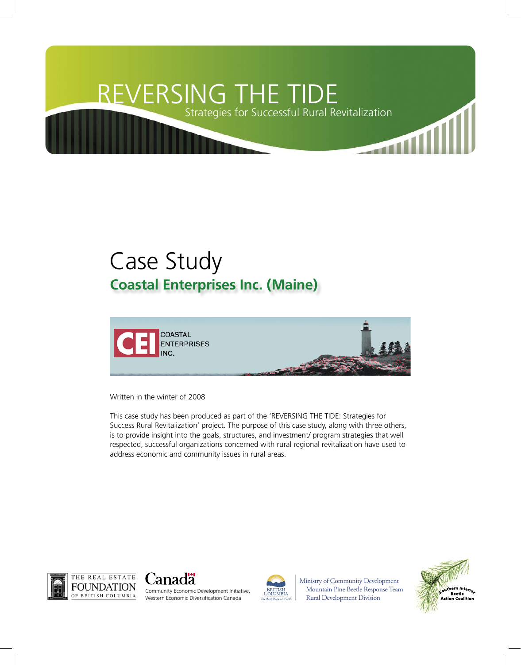# REVERSING THE TIDE

Strategies for Successful Rural Revitalization

## Case Study **Coastal Enterprises Inc. (Maine)**



Written in the winter of 2008

This case study has been produced as part of the 'REVERSING THE TIDE: Strategies for Success Rural Revitalization' project. The purpose of this case study, along with three others, is to provide insight into the goals, structures, and investment/ program strategies that well respected, successful organizations concerned with rural regional revitalization have used to address economic and community issues in rural areas.







Ministry of Community Development Mountain Pine Beetle Response Team Rural Development Division

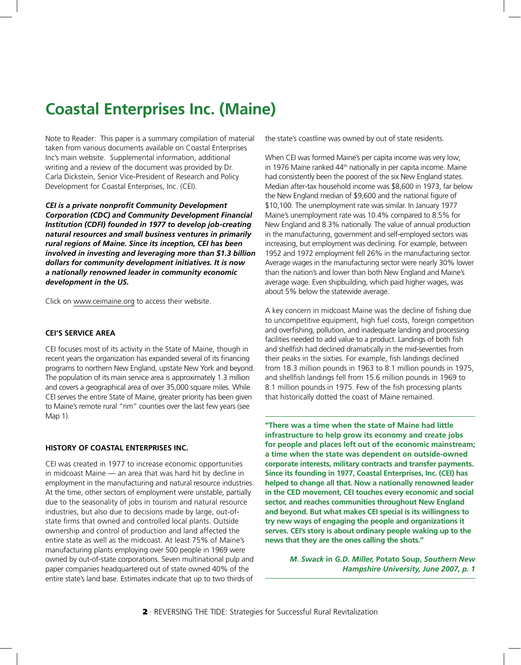### **Coastal Enterprises Inc. (Maine)**

Note to Reader: This paper is a summary compilation of material taken from various documents available on Coastal Enterprises Inc's main website. Supplemental information, additional writing and a review of the document was provided by Dr. Carla Dickstein, Senior Vice-President of Research and Policy Development for Coastal Enterprises, Inc. (CEI).

*CEI is a private nonprofit Community Development Corporation (CDC) and Community Development Financial Institution (CDFI) founded in 1977 to develop job-creating natural resources and small business ventures in primarily rural regions of Maine. Since its inception, CEI has been involved in investing and leveraging more than \$1.3 billion dollars for community development initiatives. It is now a nationally renowned leader in community economic development in the US.* 

Click on [www.ceimaine.org](http://www.ceimaine.org) to access their website.

#### **CEI'S SERVICE AREA**

CEI focuses most of its activity in the State of Maine, though in recent years the organization has expanded several of its financing programs to northern New England, upstate New York and beyond. The population of its main service area is approximately 1.3 million and covers a geographical area of over 35,000 square miles. While CEI serves the entire State of Maine, greater priority has been given to Maine's remote rural "rim" counties over the last few years (see Map 1).

#### **HISTORY OF COASTAL ENTERPRISES INC.**

CEI was created in 1977 to increase economic opportunities in midcoast Maine — an area that was hard hit by decline in employment in the manufacturing and natural resource industries. At the time, other sectors of employment were unstable, partially due to the seasonality of jobs in tourism and natural resource industries, but also due to decisions made by large, out-ofstate firms that owned and controlled local plants. Outside ownership and control of production and land affected the entire state as well as the midcoast. At least 75% of Maine's manufacturing plants employing over 500 people in 1969 were owned by out-of-state corporations. Seven multinational pulp and paper companies headquartered out of state owned 40% of the entire state's land base. Estimates indicate that up to two thirds of

the state's coastline was owned by out of state residents.

When CEI was formed Maine's per capita income was very low; in 1976 Maine ranked 44<sup>th</sup> nationally in per capita income. Maine had consistently been the poorest of the six New England states. Median after-tax household income was \$8,600 in 1973, far below the New England median of \$9,600 and the national figure of \$10,100. The unemployment rate was similar. In January 1977 Maine's unemployment rate was 10.4% compared to 8.5% for New England and 8.3% nationally. The value of annual production in the manufacturing, government and self-employed sectors was increasing, but employment was declining. For example, between 1952 and 1972 employment fell 26% in the manufacturing sector. Average wages in the manufacturing sector were nearly 30% lower than the nation's and lower than both New England and Maine's average wage. Even shipbuilding, which paid higher wages, was about 5% below the statewide average.

A key concern in midcoast Maine was the decline of fishing due to uncompetitive equipment, high fuel costs, foreign competition and overfishing, pollution, and inadequate landing and processing facilities needed to add value to a product. Landings of both fish and shellfish had declined dramatically in the mid-seventies from their peaks in the sixties. For example, fish landings declined from 18.3 million pounds in 1963 to 8.1 million pounds in 1975, and shellfish landings fell from 15.6 million pounds in 1969 to 8.1 million pounds in 1975. Few of the fish processing plants that historically dotted the coast of Maine remained.

**"There was a time when the state of Maine had little infrastructure to help grow its economy and create jobs for people and places left out of the economic mainstream; a time when the state was dependent on outside-owned corporate interests, military contracts and transfer payments. Since its founding in 1977, Coastal Enterprises, Inc. (CEI) has helped to change all that. Now a nationally renowned leader in the CED movement, CEI touches every economic and social sector, and reaches communities throughout New England and beyond. But what makes CEI special is its willingness to try new ways of engaging the people and organizations it serves. CEI's story is about ordinary people waking up to the news that they are the ones calling the shots."**

> *M. Swack* **in** *G.D. Miller,* **Potato Soup,** *Southern New Hampshire University, June 2007, p. 1*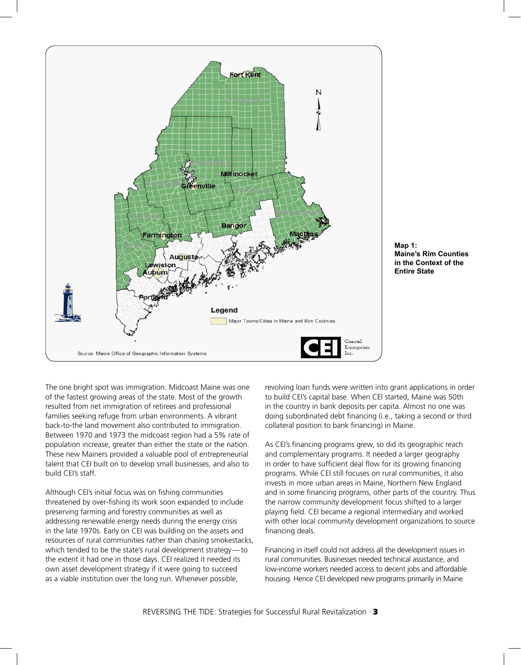



The one bright spot was immigration. Midcoast Maine was one of the fastest growing areas of the state. Most of the growth resulted from net immigration of retirees and professional families seeking refuge from urban environments. A vibrant back-to-the land movement also contributed to immigration. Between 1970 and 1973 the midcoast region had a 5% rate of population increase, greater than either the state or the nation. These new Mainers provided a valuable pool of entrepreneurial talent that CEI built on to develop small businesses, and also to build CEI's staff.

Although CEI's initial focus was on fishing communities threatened by over-fishing its work soon expanded to include preserving farming and forestry communities as well as addressing renewable energy needs during the energy crisis in the late 1970s. Early on CEI was building on the assets and resources of rural communities rather than chasing smokestacks, which tended to be the state's rural development strategy — to the extent it had one in those days. CEI realized it needed its own asset development strategy if it were going to succeed as a viable institution over the long run. Whenever possible,

revolving loan funds were written into grant applications in order to build CEI's capital base. When CEI started, Maine was 50th in the country in bank deposits per capita. Almost no one was doing subordinated debt financing (i.e., taking a second or third collateral position to bank financing) in Maine.

As CEI's financing programs grew, so did its geographic reach and complementary programs. It needed a larger geography in order to have sufficient deal flow for its growing financing programs. While CEI still focuses on rural communities, it also invests in more urban areas in Maine, Northern New England and in some financing programs, other parts of the country. Thus the narrow community development focus shifted to a larger playing field. CEI became a regional intermediary and worked with other local community development organizations to source financing deals.

Financing in itself could not address all the development issues in rural communities. Businesses needed technical assistance, and low-income workers needed access to decent jobs and affordable housing. Hence CEI developed new programs primarily in Maine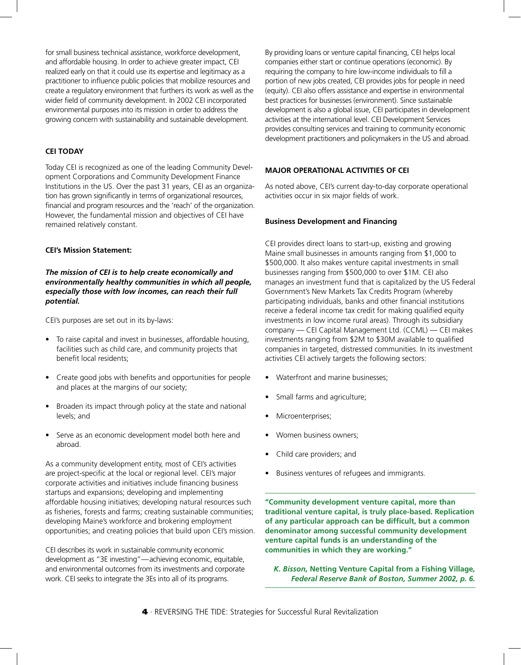for small business technical assistance, workforce development, and affordable housing. In order to achieve greater impact, CEI realized early on that it could use its expertise and legitimacy as a practitioner to influence public policies that mobilize resources and create a regulatory environment that furthers its work as well as the wider field of community development. In 2002 CEI incorporated environmental purposes into its mission in order to address the growing concern with sustainability and sustainable development.

#### **CEI TODAY**

Today CEI is recognized as one of the leading Community Development Corporations and Community Development Finance Institutions in the US. Over the past 31 years, CEI as an organization has grown significantly in terms of organizational resources, financial and program resources and the 'reach' of the organization. However, the fundamental mission and objectives of CEI have remained relatively constant.

#### **CEI's Mission Statement:**

*The mission of CEI is to help create economically and environmentally healthy communities in which all people, especially those with low incomes, can reach their full potential.*

CEI's purposes are set out in its by-laws:

- To raise capital and invest in businesses, affordable housing, facilities such as child care, and community projects that benefit local residents;
- Create good jobs with benefits and opportunities for people and places at the margins of our society;
- Broaden its impact through policy at the state and national levels; and
- Serve as an economic development model both here and abroad.

As a community development entity, most of CEI's activities are project-specific at the local or regional level. CEI's major corporate activities and initiatives include financing business startups and expansions; developing and implementing affordable housing initiatives; developing natural resources such as fisheries, forests and farms; creating sustainable communities; developing Maine's workforce and brokering employment opportunities; and creating policies that build upon CEI's mission.

CEI describes its work in sustainable community economic development as "3E investing"-achieving economic, equitable, and environmental outcomes from its investments and corporate work. CEI seeks to integrate the 3Es into all of its programs.

By providing loans or venture capital financing, CEI helps local companies either start or continue operations (economic). By requiring the company to hire low-income individuals to fill a portion of new jobs created, CEI provides jobs for people in need (equity). CEI also offers assistance and expertise in environmental best practices for businesses (environment). Since sustainable development is also a global issue, CEI participates in development activities at the international level. CEI Development Services provides consulting services and training to community economic development practitioners and policymakers in the US and abroad.

#### **MAJOR OPERATIONAL ACTIVITIES OF CEI**

As noted above, CEI's current day-to-day corporate operational activities occur in six major fields of work.

#### **Business Development and Financing**

CEI provides direct loans to start-up, existing and growing Maine small businesses in amounts ranging from \$1,000 to \$500,000. It also makes venture capital investments in small businesses ranging from \$500,000 to over \$1M. CEI also manages an investment fund that is capitalized by the US Federal Government's New Markets Tax Credits Program (whereby participating individuals, banks and other financial institutions receive a federal income tax credit for making qualified equity investments in low income rural areas). Through its subsidiary company — CEI Capital Management Ltd. (CCML) — CEI makes investments ranging from \$2M to \$30M available to qualified companies in targeted, distressed communities. In its investment activities CEI actively targets the following sectors:

- Waterfront and marine businesses;
- Small farms and agriculture;
- Microenterprises;
- Women business owners;
- Child care providers; and
- Business ventures of refugees and immigrants.

**"Community development venture capital, more than traditional venture capital, is truly place-based. Replication of any particular approach can be difficult, but a common denominator among successful community development venture capital funds is an understanding of the communities in which they are working."**

*K. Bisson,* **Netting Venture Capital from a Fishing Village***, Federal Reserve Bank of Boston, Summer 2002, p. 6.*

**4** · REVERSING THE TIDE: Strategies for Successful Rural Revitalization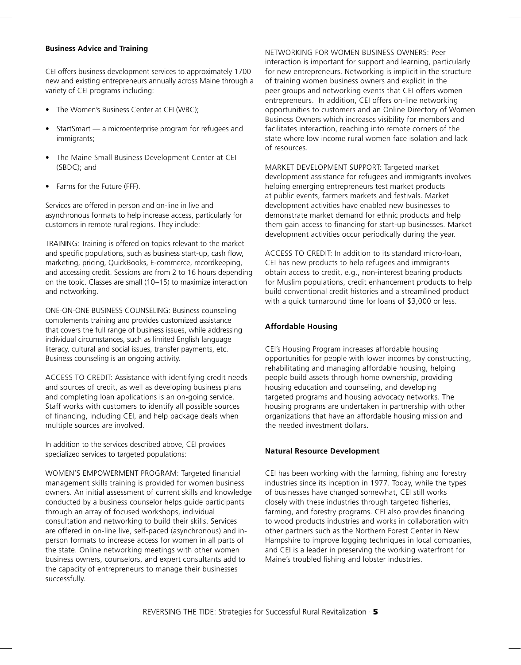#### **Business Advice and Training**

CEI offers business development services to approximately 1700 new and existing entrepreneurs annually across Maine through a variety of CEI programs including:

- The Women's Business Center at CEI (WBC);
- StartSmart a microenterprise program for refugees and immigrants;
- The Maine Small Business Development Center at CEI (SBDC); and
- Farms for the Future (FFF).

Services are offered in person and on-line in live and asynchronous formats to help increase access, particularly for customers in remote rural regions. They include:

TRAINING: Training is offered on topics relevant to the market and specific populations, such as business start-up, cash flow, marketing, pricing, QuickBooks, E-commerce, recordkeeping, and accessing credit. Sessions are from 2 to 16 hours depending on the topic. Classes are small (10–15) to maximize interaction and networking.

ONE-ON-ONE BUSINESS COUNSELING: Business counseling complements training and provides customized assistance that covers the full range of business issues, while addressing individual circumstances, such as limited English language literacy, cultural and social issues, transfer payments, etc. Business counseling is an ongoing activity.

ACCESS TO CREDIT: Assistance with identifying credit needs and sources of credit, as well as developing business plans and completing loan applications is an on-going service. Staff works with customers to identify all possible sources of financing, including CEI, and help package deals when multiple sources are involved.

In addition to the services described above, CEI provides specialized services to targeted populations:

WOMEN'S EMPOWERMENT PROGRAM: Targeted financial management skills training is provided for women business owners. An initial assessment of current skills and knowledge conducted by a business counselor helps guide participants through an array of focused workshops, individual consultation and networking to build their skills. Services are offered in on-line live, self-paced (asynchronous) and inperson formats to increase access for women in all parts of the state. Online networking meetings with other women business owners, counselors, and expert consultants add to the capacity of entrepreneurs to manage their businesses successfully.

NETWORKING FOR WOMEN BUSINESS OWNERS: Peer interaction is important for support and learning, particularly for new entrepreneurs. Networking is implicit in the structure of training women business owners and explicit in the peer groups and networking events that CEI offers women entrepreneurs. In addition, CEI offers on-line networking opportunities to customers and an Online Directory of Women Business Owners which increases visibility for members and facilitates interaction, reaching into remote corners of the state where low income rural women face isolation and lack of resources.

MARKET DEVELOPMENT SUPPORT: Targeted market development assistance for refugees and immigrants involves helping emerging entrepreneurs test market products at public events, farmers markets and festivals. Market development activities have enabled new businesses to demonstrate market demand for ethnic products and help them gain access to financing for start-up businesses. Market development activities occur periodically during the year.

ACCESS TO CREDIT: In addition to its standard micro-loan, CEI has new products to help refugees and immigrants obtain access to credit, e.g., non-interest bearing products for Muslim populations, credit enhancement products to help build conventional credit histories and a streamlined product with a quick turnaround time for loans of \$3,000 or less.

#### **Affordable Housing**

CEI's Housing Program increases affordable housing opportunities for people with lower incomes by constructing, rehabilitating and managing affordable housing, helping people build assets through home ownership, providing housing education and counseling, and developing targeted programs and housing advocacy networks. The housing programs are undertaken in partnership with other organizations that have an affordable housing mission and the needed investment dollars.

#### **Natural Resource Development**

CEI has been working with the farming, fishing and forestry industries since its inception in 1977. Today, while the types of businesses have changed somewhat, CEI still works closely with these industries through targeted fisheries, farming, and forestry programs. CEI also provides financing to wood products industries and works in collaboration with other partners such as the Northern Forest Center in New Hampshire to improve logging techniques in local companies, and CEI is a leader in preserving the working waterfront for Maine's troubled fishing and lobster industries.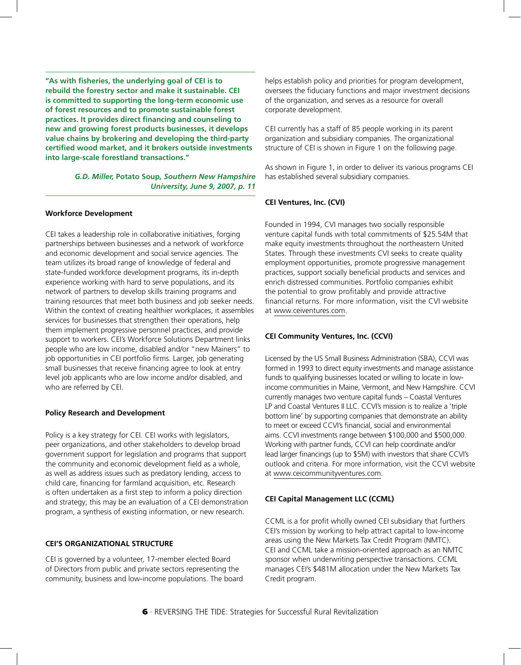**"As with fisheries, the underlying goal of CEI is to rebuild the forestry sector and make it sustainable. CEI is committed to supporting the long-term economic use of forest resources and to promote sustainable forest practices. It provides direct financing and counseling to new and growing forest products businesses, it develops value chains by brokering and developing the third-party certified wood market, and it brokers outside investments into large-scale forestland transactions."**

> *G.D. Miller,* **Potato Soup***, Southern New Hampshire University, June 9, 2007, p. 11*

#### **Workforce Development**

CEI takes a leadership role in collaborative initiatives, forging partnerships between businesses and a network of workforce and economic development and social service agencies. The team utilizes its broad range of knowledge of federal and state-funded workforce development programs, its in-depth experience working with hard to serve populations, and its network of partners to develop skills training programs and training resources that meet both business and job seeker needs. Within the context of creating healthier workplaces, it assembles services for businesses that strengthen their operations, help them implement progressive personnel practices, and provide support to workers. CEI's Workforce Solutions Department links people who are low income, disabled and/or "new Mainers" to job opportunities in CEI portfolio firms. Larger, job generating small businesses that receive financing agree to look at entry level job applicants who are low income and/or disabled, and who are referred by CEI.

#### **Policy Research and Development**

Policy is a key strategy for CEI. CEI works with legislators, peer organizations, and other stakeholders to develop broad government support for legislation and programs that support the community and economic development field as a whole, as well as address issues such as predatory lending, access to child care, financing for farmland acquisition, etc. Research is often undertaken as a first step to inform a policy direction and strategy; this may be an evaluation of a CEI demonstration program, a synthesis of existing information, or new research.

#### **CEI'S ORGANIZATIONAL STRUCTURE**

CEI is governed by a volunteer, 17-member elected Board of Directors from public and private sectors representing the community, business and low-income populations. The board helps establish policy and priorities for program development, oversees the fiduciary functions and major investment decisions of the organization, and serves as a resource for overall corporate development.

CEI currently has a staff of 85 people working in its parent organization and subsidiary companies. The organizational structure of CEI is shown in Figure 1 on the following page.

As shown in Figure 1, in order to deliver its various programs CEI has established several subsidiary companies.

#### **CEI Ventures, Inc. (CVI)**

Founded in 1994, CVI manages two socially responsible venture capital funds with total commitments of \$25.54M that make equity investments throughout the northeastern United States. Through these investments CVI seeks to create quality employment opportunities, promote progressive management practices, support socially beneficial products and services and enrich distressed communities. Portfolio companies exhibit the potential to grow profitably and provide attractive financial returns. For more information, visit the CVI website at [www.ceiventures.com](http://www.ceiventures.com/).

#### **CEI Community Ventures, Inc. (CCVI)**

Licensed by the US Small Business Administration (SBA), CCVI was formed in 1993 to direct equity investments and manage assistance funds to qualifying businesses located or willing to locate in lowincome communities in Maine, Vermont, and New Hampshire. CCVI currently manages two venture capital funds – Coastal Ventures LP and Coastal Ventures II LLC. CCVI's mission is to realize a 'triple bottom line' by supporting companies that demonstrate an ability to meet or exceed CCVI's financial, social and environmental aims. CCVI investments range between \$100,000 and \$500,000. Working with partner funds, CCVI can help coordinate and/or lead larger financings (up to \$5M) with investors that share CCVI's outlook and criteria. For more information, visit the CCVI website at [www.ceicommunityventures.com](http://www.ceicommunityventures.com/).

#### **CEI Capital Management LLC (CCML)**

CCML is a for profit wholly owned CEI subsidiary that furthers CEI's mission by working to help attract capital to low-income areas using the New Markets Tax Credit Program (NMTC). CEI and CCML take a mission-oriented approach as an NMTC sponsor when underwriting perspective transactions. CCML manages CEI's \$481M allocation under the New Markets Tax Credit program.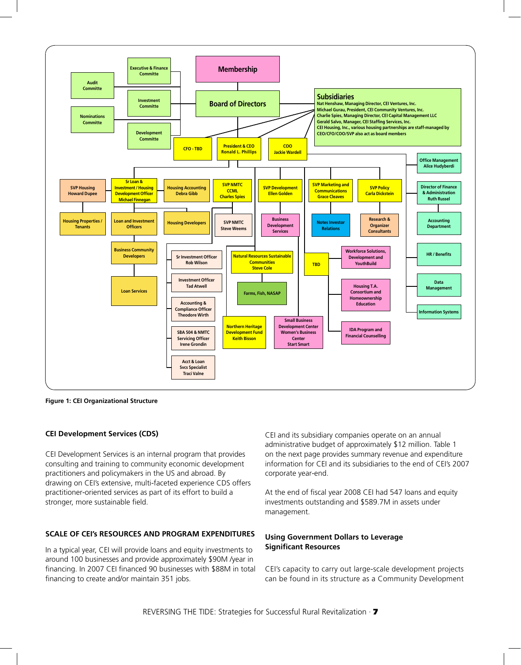

**Figure 1: CEI Organizational Structure**

#### **CEI Development Services (CDS)**

CEI Development Services is an internal program that provides consulting and training to community economic development practitioners and policymakers in the US and abroad. By drawing on CEI's extensive, multi-faceted experience CDS offers practitioner-oriented services as part of its effort to build a stronger, more sustainable field.

#### **SCALE OF CEI's RESOURCES AND PROGRAM EXPENDITURES**

In a typical year, CEI will provide loans and equity investments to around 100 businesses and provide approximately \$90M /year in financing. In 2007 CEI financed 90 businesses with \$88M in total financing to create and/or maintain 351 jobs.

CEI and its subsidiary companies operate on an annual administrative budget of approximately \$12 million. Table 1 on the next page provides summary revenue and expenditure information for CEI and its subsidiaries to the end of CEI's 2007 corporate year-end.

At the end of fiscal year 2008 CEI had 547 loans and equity investments outstanding and \$589.7M in assets under management.

#### **Using Government Dollars to Leverage Significant Resources**

CEI's capacity to carry out large-scale development projects can be found in its structure as a Community Development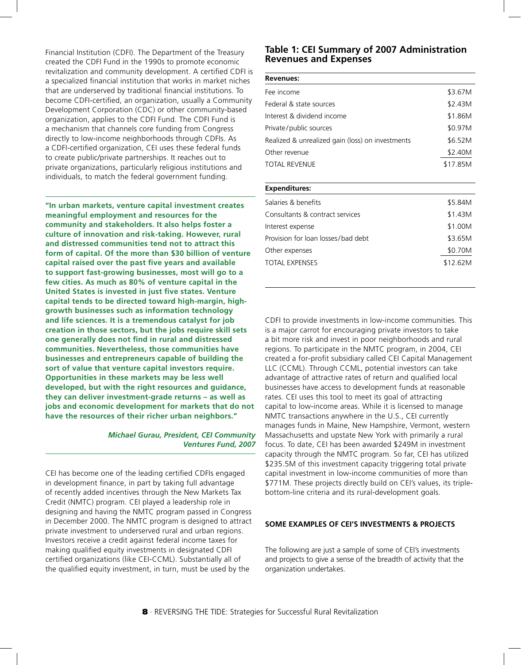Financial Institution (CDFI). The Department of the Treasury created the CDFI Fund in the 1990s to promote economic revitalization and community development. A certified CDFI is a specialized financial institution that works in market niches that are underserved by traditional financial institutions. To become CDFI-certified, an organization, usually a Community Development Corporation (CDC) or other community-based organization, applies to the CDFI Fund. The CDFI Fund is a mechanism that channels core funding from Congress directly to low-income neighborhoods through CDFIs. As a CDFI-certified organization, CEI uses these federal funds to create public/private partnerships. It reaches out to private organizations, particularly religious institutions and individuals, to match the federal government funding.

**"In urban markets, venture capital investment creates meaningful employment and resources for the community and stakeholders. It also helps foster a culture of innovation and risk-taking. However, rural and distressed communities tend not to attract this form of capital. Of the more than \$30 billion of venture capital raised over the past five years and available to support fast-growing businesses, most will go to a few cities. As much as 80% of venture capital in the United States is invested in just five states. Venture capital tends to be directed toward high-margin, highgrowth businesses such as information technology and life sciences. It is a tremendous catalyst for job creation in those sectors, but the jobs require skill sets one generally does not find in rural and distressed communities. Nevertheless, those communities have businesses and entrepreneurs capable of building the sort of value that venture capital investors require. Opportunities in these markets may be less well developed, but with the right resources and guidance, they can deliver investment-grade returns – as well as jobs and economic development for markets that do not have the resources of their richer urban neighbors."**

> *Michael Gurau, President, CEI Community Ventures Fund, 2007*

CEI has become one of the leading certified CDFIs engaged in development finance, in part by taking full advantage of recently added incentives through the New Markets Tax Credit (NMTC) program. CEI played a leadership role in designing and having the NMTC program passed in Congress in December 2000. The NMTC program is designed to attract private investment to underserved rural and urban regions. Investors receive a credit against federal income taxes for making qualified equity investments in designated CDFI certified organizations (like CEI-CCML). Substantially all of the qualified equity investment, in turn, must be used by the

#### **Table 1: CEI Summary of 2007 Administration Revenues and Expenses**

| <b>Expenditures:</b>                             |          |
|--------------------------------------------------|----------|
|                                                  |          |
| TOTAL REVENUE                                    | \$17.85M |
| Other revenue                                    | \$2.40M  |
| Realized & unrealized gain (loss) on investments | \$6.52M  |
| Private/public sources                           | \$0.97M  |
| Interest & dividend income                       | \$1.86M  |
| Federal & state sources                          | \$2.43M  |
| Fee income                                       | \$3.67M  |
|                                                  |          |

| Salaries & benefits                | \$5.84M  |
|------------------------------------|----------|
| Consultants & contract services    | \$1.43M  |
| Interest expense                   | \$1.00M  |
| Provision for loan losses/bad debt | \$3.65M  |
| Other expenses                     | \$0.70M  |
| TOTAL EXPENSES                     | \$12.62M |
|                                    |          |

CDFI to provide investments in low-income communities. This is a major carrot for encouraging private investors to take a bit more risk and invest in poor neighborhoods and rural regions. To participate in the NMTC program, in 2004, CEI created a for-profit subsidiary called CEI Capital Management LLC (CCML). Through CCML, potential investors can take advantage of attractive rates of return and qualified local businesses have access to development funds at reasonable rates. CEI uses this tool to meet its goal of attracting capital to low-income areas. While it is licensed to manage NMTC transactions anywhere in the U.S., CEI currently manages funds in Maine, New Hampshire, Vermont, western Massachusetts and upstate New York with primarily a rural focus. To date, CEI has been awarded \$249M in investment capacity through the NMTC program. So far, CEI has utilized \$235.5M of this investment capacity triggering total private capital investment in low-income communities of more than \$771M. These projects directly build on CEI's values, its triplebottom-line criteria and its rural-development goals.

#### **SOME EXAMPLES OF CEI'S INVESTMENTS & PROJECTS**

The following are just a sample of some of CEI's investments and projects to give a sense of the breadth of activity that the organization undertakes.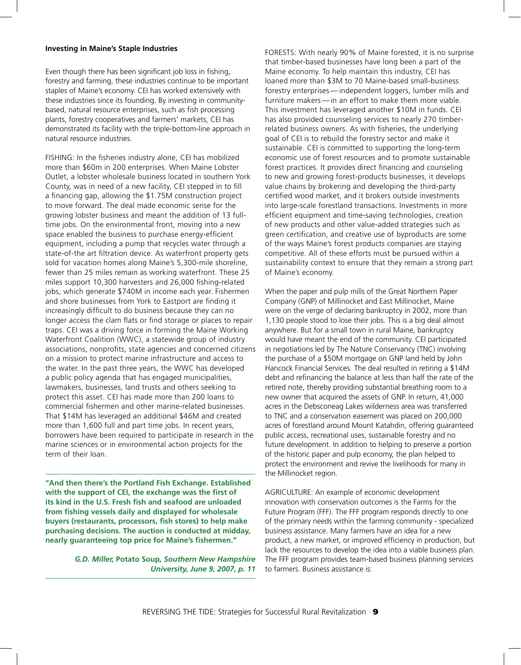#### **Investing in Maine's Staple Industries**

Even though there has been significant job loss in fishing, forestry and farming, these industries continue to be important staples of Maine's economy. CEI has worked extensively with these industries since its founding. By investing in communitybased, natural resource enterprises, such as fish processing plants, forestry cooperatives and farmers' markets, CEI has demonstrated its facility with the triple-bottom-line approach in natural resource industries.

FISHING: In the fisheries industry alone, CEI has mobilized more than \$60m in 200 enterprises. When Maine Lobster Outlet, a lobster wholesale business located in southern York County, was in need of a new facility, CEI stepped in to fill a financing gap, allowing the \$1.75M construction project to move forward. The deal made economic sense for the growing lobster business and meant the addition of 13 fulltime jobs. On the environmental front, moving into a new space enabled the business to purchase energy-efficient equipment, including a pump that recycles water through a state-of-the art filtration device. As waterfront property gets sold for vacation homes along Maine's 5,300-mile shoreline, fewer than 25 miles remain as working waterfront. These 25 miles support 10,300 harvesters and 26,000 fishing-related jobs, which generate \$740M in income each year. Fishermen and shore businesses from York to Eastport are finding it increasingly difficult to do business because they can no longer access the clam flats or find storage or places to repair traps. CEI was a driving force in forming the Maine Working Waterfront Coalition (WWC), a statewide group of industry associations, nonprofits, state agencies and concerned citizens on a mission to protect marine infrastructure and access to the water. In the past three years, the WWC has developed a public policy agenda that has engaged municipalities, lawmakers, businesses, land trusts and others seeking to protect this asset. CEI has made more than 200 loans to commercial fishermen and other marine-related businesses. That \$14M has leveraged an additional \$46M and created more than 1,600 full and part time jobs. In recent years, borrowers have been required to participate in research in the marine sciences or in environmental action projects for the term of their loan.

**"And then there's the Portland Fish Exchange. Established with the support of CEI, the exchange was the first of its kind in the U.S. Fresh fish and seafood are unloaded from fishing vessels daily and displayed for wholesale buyers (restaurants, processors, fish stores) to help make purchasing decisions. The auction is conducted at midday, nearly guaranteeing top price for Maine's fishermen."**

> *G.D. Miller,* **Potato Soup***, Southern New Hampshire University, June 9, 2007, p. 11*

FORESTS: With nearly 90% of Maine forested, it is no surprise that timber-based businesses have long been a part of the Maine economy. To help maintain this industry, CEI has loaned more than \$3M to 70 Maine-based small-business forestry enterprises — independent loggers, lumber mills and furniture makers — in an effort to make them more viable. This investment has leveraged another \$10M in funds. CEI has also provided counseling services to nearly 270 timberrelated business owners. As with fisheries, the underlying goal of CEI is to rebuild the forestry sector and make it sustainable. CEI is committed to supporting the long-term economic use of forest resources and to promote sustainable forest practices. It provides direct financing and counseling to new and growing forest-products businesses, it develops value chains by brokering and developing the third-party certified wood market, and it brokers outside investments into large-scale forestland transactions. Investments in more efficient equipment and time-saving technologies, creation of new products and other value-added strategies such as green certification, and creative use of byproducts are some of the ways Maine's forest products companies are staying competitive. All of these efforts must be pursued within a sustainability context to ensure that they remain a strong part of Maine's economy.

When the paper and pulp mills of the Great Northern Paper Company (GNP) of Millinocket and East Millinocket, Maine were on the verge of declaring bankruptcy in 2002, more than 1,130 people stood to lose their jobs. This is a big deal almost anywhere. But for a small town in rural Maine, bankruptcy would have meant the end of the community. CEI participated in negotiations led by The Nature Conservancy (TNC) involving the purchase of a \$50M mortgage on GNP land held by John Hancock Financial Services. The deal resulted in retiring a \$14M debt and refinancing the balance at less than half the rate of the retired note, thereby providing substantial breathing room to a new owner that acquired the assets of GNP. In return, 41,000 acres in the Debsconeag Lakes wilderness area was transferred to TNC and a conservation easement was placed on 200,000 acres of forestland around Mount Katahdin, offering guaranteed public access, recreational uses, sustainable forestry and no future development. In addition to helping to preserve a portion of the historic paper and pulp economy, the plan helped to protect the environment and revive the livelihoods for many in the Millinocket region.

AGRICULTURE: An example of economic development innovation with conservation outcomes is the Farms for the Future Program (FFF). The FFF program responds directly to one of the primary needs within the farming community - specialized business assistance. Many farmers have an idea for a new product, a new market, or improved efficiency in production, but lack the resources to develop the idea into a viable business plan. The FFF program provides team-based business planning services to farmers. Business assistance is: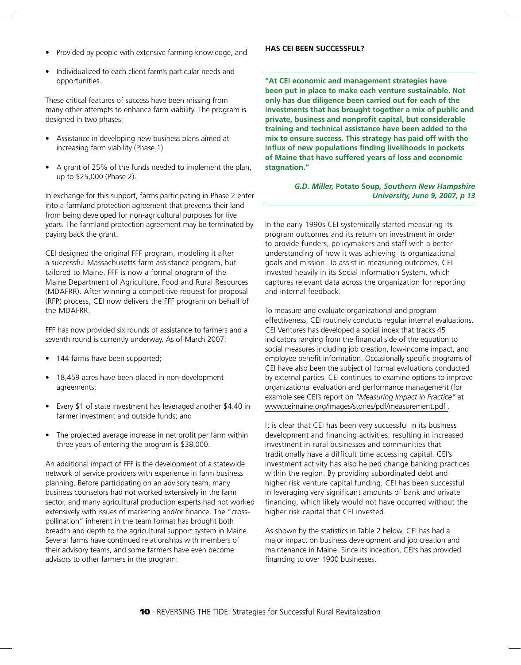- Provided by people with extensive farming knowledge, and
- Individualized to each client farm's particular needs and opportunities.

These critical features of success have been missing from many other attempts to enhance farm viability. The program is designed in two phases:

- Assistance in developing new business plans aimed at increasing farm viability (Phase 1).
- A grant of 25% of the funds needed to implement the plan, up to \$25,000 (Phase 2).

In exchange for this support, farms participating in Phase 2 enter into a farmland protection agreement that prevents their land from being developed for non-agricultural purposes for five years. The farmland protection agreement may be terminated by paying back the grant.

CEI designed the original FFF program, modeling it after a successful Massachusetts farm assistance program, but tailored to Maine. FFF is now a formal program of the Maine Department of Agriculture, Food and Rural Resources (MDAFRR). After winning a competitive request for proposal (RFP) process, CEI now delivers the FFF program on behalf of the MDAFRR.

FFF has now provided six rounds of assistance to farmers and a seventh round is currently underway. As of March 2007:

- 144 farms have been supported;
- 18,459 acres have been placed in non-development agreements;
- Every \$1 of state investment has leveraged another \$4.40 in farmer investment and outside funds; and
- The projected average increase in net profit per farm within three years of entering the program is \$38,000.

An additional impact of FFF is the development of a statewide network of service providers with experience in farm business planning. Before participating on an advisory team, many business counselors had not worked extensively in the farm sector, and many agricultural production experts had not worked extensively with issues of marketing and/or finance. The "crosspollination" inherent in the team format has brought both breadth and depth to the agricultural support system in Maine. Several farms have continued relationships with members of their advisory teams, and some farmers have even become advisors to other farmers in the program.

#### **HAS CEI BEEN SUCCESSFUL?**

**"At CEI economic and management strategies have been put in place to make each venture sustainable. Not only has due diligence been carried out for each of the investments that has brought together a mix of public and private, business and nonprofit capital, but considerable training and technical assistance have been added to the mix to ensure success. This strategy has paid off with the influx of new populations finding livelihoods in pockets of Maine that have suffered years of loss and economic stagnation."**

#### *G.D. Miller,* **Potato Soup***, Southern New Hampshire University, June 9, 2007, p 13*

In the early 1990s CEI systemically started measuring its program outcomes and its return on investment in order to provide funders, policymakers and staff with a better understanding of how it was achieving its organizational goals and mission. To assist in measuring outcomes, CEI invested heavily in its Social Information System, which captures relevant data across the organization for reporting and internal feedback.

To measure and evaluate organizational and program effectiveness, CEI routinely conducts regular internal evaluations. CEI Ventures has developed a social index that tracks 45 indicators ranging from the financial side of the equation to social measures including job creation, low-income impact, and employee benefit information. Occasionally specific programs of CEI have also been the subject of formal evaluations conducted by external parties. CEI continues to examine options to improve organizational evaluation and performance management (for example see CEI's report on *"Measuring Impact in Practice"* at [www.ceimaine.org/images/stories/pdf/measurement.pdf](http://www.ceimaine.org/images/stories/pdf/measurement.pdf) .

It is clear that CEI has been very successful in its business development and financing activities, resulting in increased investment in rural businesses and communities that traditionally have a difficult time accessing capital. CEI's investment activity has also helped change banking practices within the region. By providing subordinated debt and higher risk venture capital funding, CEI has been successful in leveraging very significant amounts of bank and private financing, which likely would not have occurred without the higher risk capital that CEI invested.

As shown by the statistics in Table 2 below, CEI has had a major impact on business development and job creation and maintenance in Maine. Since its inception, CEI's has provided financing to over 1900 businesses.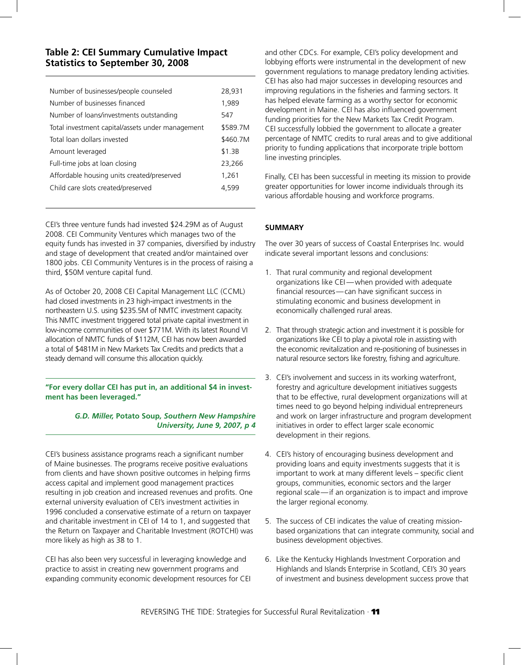#### **Table 2: CEI Summary Cumulative Impact Statistics to September 30, 2008**

| Number of businesses/people counseled            | 28,931   |
|--------------------------------------------------|----------|
| Number of businesses financed                    | 1,989    |
| Number of loans/investments outstanding          | 547      |
| Total investment capital/assets under management | \$589.7M |
| Total loan dollars invested                      | \$460.7M |
| Amount leveraged                                 | \$1.3B   |
| Full-time jobs at loan closing                   | 23,266   |
| Affordable housing units created/preserved       | 1,261    |
| Child care slots created/preserved               | 4.599    |
|                                                  |          |

CEI's three venture funds had invested \$24.29M as of August 2008. CEI Community Ventures which manages two of the equity funds has invested in 37 companies, diversified by industry and stage of development that created and/or maintained over 1800 jobs. CEI Community Ventures is in the process of raising a third, \$50M venture capital fund.

As of October 20, 2008 CEI Capital Management LLC (CCML) had closed investments in 23 high-impact investments in the northeastern U.S. using \$235.5M of NMTC investment capacity. This NMTC investment triggered total private capital investment in low-income communities of over \$771M. With its latest Round VI allocation of NMTC funds of \$112M, CEI has now been awarded a total of \$481M in New Markets Tax Credits and predicts that a steady demand will consume this allocation quickly.

**"For every dollar CEI has put in, an additional \$4 in investment has been leveraged."**

> *G.D. Miller,* **Potato Soup***, Southern New Hampshire University, June 9, 2007, p 4*

CEI's business assistance programs reach a significant number of Maine businesses. The programs receive positive evaluations from clients and have shown positive outcomes in helping firms access capital and implement good management practices resulting in job creation and increased revenues and profits. One external university evaluation of CEI's investment activities in 1996 concluded a conservative estimate of a return on taxpayer and charitable investment in CEI of 14 to 1, and suggested that the Return on Taxpayer and Charitable Investment (ROTCHI) was more likely as high as 38 to 1.

CEI has also been very successful in leveraging knowledge and practice to assist in creating new government programs and expanding community economic development resources for CEI and other CDCs. For example, CEI's policy development and lobbying efforts were instrumental in the development of new government regulations to manage predatory lending activities. CEI has also had major successes in developing resources and improving regulations in the fisheries and farming sectors. It has helped elevate farming as a worthy sector for economic development in Maine. CEI has also influenced government funding priorities for the New Markets Tax Credit Program. CEI successfully lobbied the government to allocate a greater percentage of NMTC credits to rural areas and to give additional priority to funding applications that incorporate triple bottom line investing principles.

Finally, CEI has been successful in meeting its mission to provide greater opportunities for lower income individuals through its various affordable housing and workforce programs.

#### **SUMMARY**

The over 30 years of success of Coastal Enterprises Inc. would indicate several important lessons and conclusions:

- 1. That rural community and regional development organizations like CEI — when provided with adequate financial resources — can have significant success in stimulating economic and business development in economically challenged rural areas.
- 2. That through strategic action and investment it is possible for organizations like CEI to play a pivotal role in assisting with the economic revitalization and re-positioning of businesses in natural resource sectors like forestry, fishing and agriculture.
- 3. CEI's involvement and success in its working waterfront, forestry and agriculture development initiatives suggests that to be effective, rural development organizations will at times need to go beyond helping individual entrepreneurs and work on larger infrastructure and program development initiatives in order to effect larger scale economic development in their regions.
- 4. CEI's history of encouraging business development and providing loans and equity investments suggests that it is important to work at many different levels – specific client groups, communities, economic sectors and the larger regional scale — if an organization is to impact and improve the larger regional economy.
- 5. The success of CEI indicates the value of creating missionbased organizations that can integrate community, social and business development objectives.
- 6. Like the Kentucky Highlands Investment Corporation and Highlands and Islands Enterprise in Scotland, CEI's 30 years of investment and business development success prove that